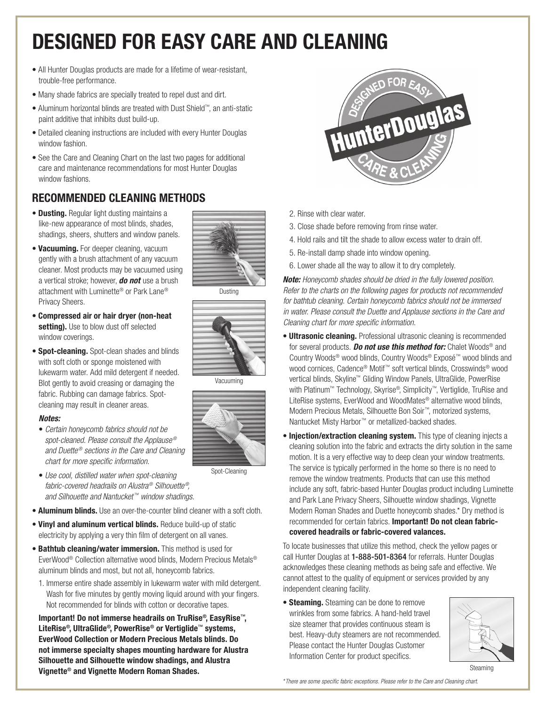## Designed for Easy Care and Cleaning

- All Hunter Douglas products are made for a lifetime of wear-resistant, trouble-free performance.
- Many shade fabrics are specially treated to repel dust and dirt.
- Aluminum horizontal blinds are treated with Dust Shield™, an anti-static paint additive that inhibits dust build-up.
- Detailed cleaning instructions are included with every Hunter Douglas window fashion.
- See the Care and Cleaning Chart on the last two pages for additional care and maintenance recommendations for most Hunter Douglas window fashions.

#### Recommended Cleaning Methods

- **Dusting.** Regular light dusting maintains a like-new appearance of most blinds, shades, shadings, sheers, shutters and window panels.
- Vacuuming. For deeper cleaning, vacuum gently with a brush attachment of any vacuum cleaner. Most products may be vacuumed using a vertical stroke; however, *do not* use a brush attachment with Luminette® or Park Lane® Privacy Sheers.
- Compressed air or hair dryer (non-heat setting). Use to blow dust off selected window coverings.
- Spot-cleaning. Spot-clean shades and blinds with soft cloth or sponge moistened with lukewarm water. Add mild detergent if needed. Blot gently to avoid creasing or damaging the fabric. Rubbing can damage fabrics. Spotcleaning may result in cleaner areas.

#### *Notes:*

- *Certain honeycomb fabrics should not be spot-cleaned. Please consult the Applause® and Duette® sections in the Care and Cleaning chart for more specific information.*
- *Use cool, distilled water when spot-cleaning fabric-covered headrails on Alustra® Silhouette®, and Silhouette and Nantucket™ window shadings.*
- **Aluminum blinds.** Use an over-the-counter blind cleaner with a soft cloth.
- Vinyl and aluminum vertical blinds. Reduce build-up of static electricity by applying a very thin film of detergent on all vanes.
- Bathtub cleaning/water immersion. This method is used for EverWood® Collection alternative wood blinds, Modern Precious Metals® aluminum blinds and most, but not all, honeycomb fabrics.
- 1. Immerse entire shade assembly in lukewarm water with mild detergent. Wash for five minutes by gently moving liquid around with your fingers. Not recommended for blinds with cotton or decorative tapes.

 Important! Do not immerse headrails on TruRise®, EasyRise™, LiteRise®, UltraGlide®, PowerRise® or Vertiglide™ systems, EverWood Collection or Modern Precious Metals blinds. Do not immerse specialty shapes mounting hardware for Alustra Silhouette and Silhouette window shadings, and Alustra Vignette® and Vignette Modern Roman Shades.



- 2. Rinse with clear water.
- 3. Close shade before removing from rinse water.
- 4. Hold rails and tilt the shade to allow excess water to drain off.
- 5. Re-install damp shade into window opening.
- 6. Lower shade all the way to allow it to dry completely.

*Note: Honeycomb shades should be dried in the fully lowered position. Refer to the charts on the following pages for products not recommended for bathtub cleaning. Certain honeycomb fabrics should not be immersed in water. Please consult the Duette and Applause sections in the Care and Cleaning chart for more specific information.*

- **Ultrasonic cleaning.** Professional ultrasonic cleaning is recommended for several products. *Do not use this method for:* Chalet Woods® and Country Woods® wood blinds, Country Woods® Exposé™ wood blinds and wood cornices, Cadence® Motif™ soft vertical blinds, Crosswinds® wood vertical blinds, Skyline™ Gliding Window Panels, UltraGlide, PowerRise with Platinum™ Technology, Skyrise®, Simplicity™, Vertiglide, TruRise and LiteRise systems, EverWood and WoodMates® alternative wood blinds, Modern Precious Metals, Silhouette Bon Soir™, motorized systems, Nantucket Misty Harbor™ or metallized-backed shades.
- Injection/extraction cleaning system. This type of cleaning injects a cleaning solution into the fabric and extracts the dirty solution in the same motion. It is a very effective way to deep clean your window treatments. The service is typically performed in the home so there is no need to remove the window treatments. Products that can use this method include any soft, fabric-based Hunter Douglas product including Luminette and Park Lane Privacy Sheers, Silhouette window shadings, Vignette Modern Roman Shades and Duette honeycomb shades.\* Dry method is recommended for certain fabrics. Important! Do not clean fabriccovered headrails or fabric-covered valances.

To locate businesses that utilize this method, check the yellow pages or call Hunter Douglas at 1-888-501-8364 for referrals. Hunter Douglas acknowledges these cleaning methods as being safe and effective. We cannot attest to the quality of equipment or services provided by any independent cleaning facility.

• Steaming. Steaming can be done to remove wrinkles from some fabrics. A hand-held travel size steamer that provides continuous steam is best. Heavy-duty steamers are not recommended. Please contact the Hunter Douglas Customer Information Center for product specifics.



Steaming





Vacuuming

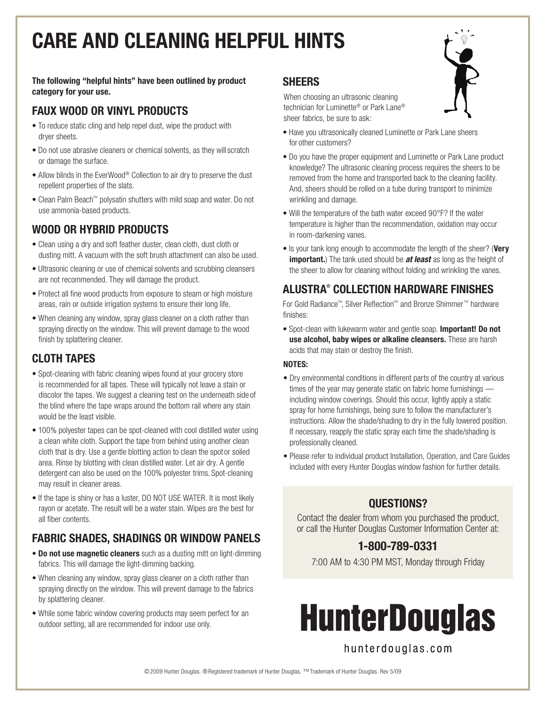# Care and Cleaning helpful hints

The following "helpful hints" have been outlined by product category for your use.

#### Faux Wood or Vinyl Products

- To reduce static cling and help repel dust, wipe the product with dryer sheets.
- Do not use abrasive cleaners or chemical solvents, as they will scratch or damage the surface.
- Allow blinds in the EverWood® Collection to air dry to preserve the dust repellent properties of the slats.
- Clean Palm Beach™ polysatin shutters with mild soap and water. Do not use ammonia-based products.

#### WOOD OR HYBRID PRODUCTS

- Clean using a dry and soft feather duster, clean cloth, dust cloth or dusting mitt. A vacuum with the soft brush attachment can also be used.
- Ultrasonic cleaning or use of chemical solvents and scrubbing cleansers are not recommended. They will damage the product.
- Protect all fine wood products from exposure to steam or high moisture areas, rain or outside irrigation systems to ensure their long life.
- When cleaning any window, spray glass cleaner on a cloth rather than spraying directly on the window. This will prevent damage to the wood finish by splattering cleaner.

#### Cloth Tapes

- Spot-cleaning with fabric cleaning wipes found at your grocery store is recommended for all tapes. These will typically not leave a stain or discolor the tapes. We suggest a cleaning test on the underneath side of the blind where the tape wraps around the bottom rail where any stain would be the least visible.
- 100% polyester tapes can be spot-cleaned with cool distilled water using a clean white cloth. Support the tape from behind using another clean cloth that is dry. Use a gentle blotting action to clean the spot or soiled area. Rinse by blotting with clean distilled water. Let air dry. A gentle detergent can also be used on the 100% polyester trims. Spot-cleaning may result in cleaner areas.
- If the tape is shiny or has a luster, DO NOT USE WATER. It is most likely rayon or acetate. The result will be a water stain. Wipes are the best for all fiber contents.

#### Fabric Shades, Shadings or Window Panels

- Do not use magnetic cleaners such as a dusting mitt on light-dimming fabrics. This will damage the light-dimming backing.
- When cleaning any window, spray glass cleaner on a cloth rather than spraying directly on the window. This will prevent damage to the fabrics by splattering cleaner.
- While some fabric window covering products may seem perfect for an outdoor setting, all are recommended for indoor use only.

#### **SHEERS**

When choosing an ultrasonic cleaning technician for Luminette® or Park Lane® sheer fabrics, be sure to ask:



- Have you ultrasonically cleaned Luminette or Park Lane sheers for other customers?
- Do you have the proper equipment and Luminette or Park Lane product knowledge? The ultrasonic cleaning process requires the sheers to be removed from the home and transported back to the cleaning facility. And, sheers should be rolled on a tube during transport to minimize wrinkling and damage.
- Will the temperature of the bath water exceed 90°F? If the water temperature is higher than the recommendation, oxidation may occur in room-darkening vanes.
- Is your tank long enough to accommodate the length of the sheer? (Very important.) The tank used should be *at least* as long as the height of the sheer to allow for cleaning without folding and wrinkling the vanes.

#### Alustra® collection hardware Finishes

For Gold Radiance™, Silver Reflection™ and Bronze Shimmer™ hardware finishes:

• Spot-clean with lukewarm water and gentle soap. Important! Do not use alcohol, baby wipes or alkaline cleansers. These are harsh acids that may stain or destroy the finish.

#### NOTES:

- Dry environmental conditions in different parts of the country at various times of the year may generate static on fabric home furnishings including window coverings. Should this occur, lightly apply a static spray for home furnishings, being sure to follow the manufacturer's instructions. Allow the shade/shading to dry in the fully lowered position. If necessary, reapply the static spray each time the shade/shading is professionally cleaned.
- Please refer to individual product Installation, Operation, and Care Guides included with every Hunter Douglas window fashion for further details.

#### Questions?

Contact the dealer from whom you purchased the product, or call the Hunter Douglas Customer Information Center at:

#### 1-800-789-0331

7:00 AM to 4:30 PM MST, Monday through Friday

# **HunterDouglas**

hunterdouglas.com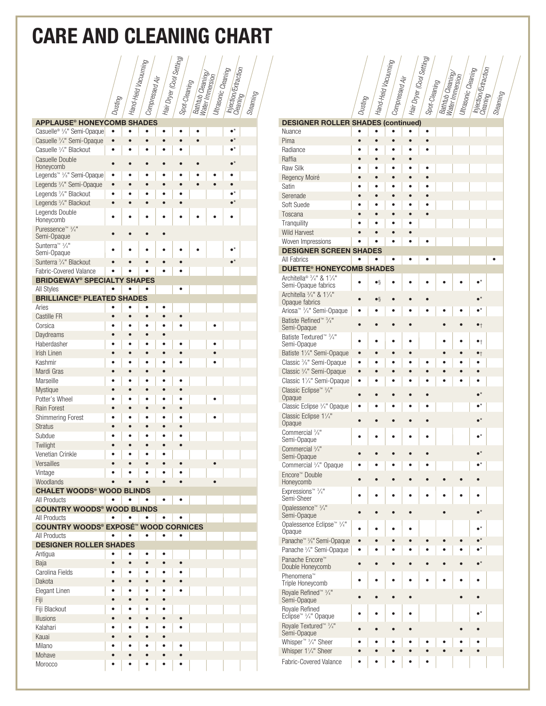### Care and Cleaning chart

|                                                                     |           | . Hand-Held Vacuuming |                             | <sup>1</sup> Hair Dryer (Cool Setting) |               |                  |                     |                      |            |
|---------------------------------------------------------------------|-----------|-----------------------|-----------------------------|----------------------------------------|---------------|------------------|---------------------|----------------------|------------|
|                                                                     |           |                       |                             |                                        |               | Bathtub Cleaning | Ultrasonic Cleaning | Injection/Extraction |            |
|                                                                     |           |                       | <sup>4</sup> Compressed Air |                                        | Spot-Cleaning |                  |                     |                      |            |
|                                                                     | - Dusting |                       |                             |                                        |               |                  |                     | - Cleaning           | - Steaming |
|                                                                     |           |                       |                             |                                        |               |                  |                     |                      |            |
|                                                                     |           |                       |                             |                                        |               |                  |                     |                      |            |
| <b>APPLAUSE® HONEYCOMB SHADES</b>                                   |           |                       |                             |                                        |               |                  |                     |                      |            |
| Casuelle <sup>® 3/8"</sup> Semi-Opaque<br>Casuelle 3/4" Semi-Opaque | $\bullet$ |                       | $\bullet$                   |                                        |               | $\bullet$        |                     |                      |            |
| Casuelle 3/4" Blackout                                              |           |                       |                             |                                        |               |                  |                     |                      |            |
| Casuelle Double                                                     |           |                       |                             |                                        |               |                  |                     |                      |            |
| Honeycomb                                                           |           |                       |                             |                                        |               |                  |                     |                      |            |
| Legends <sup>™ 3</sup> /s" Semi-Opaque                              |           |                       |                             |                                        |               |                  |                     |                      |            |
| Legends 3/4" Semi-Opaque                                            | $\bullet$ |                       |                             |                                        |               |                  |                     |                      |            |
| Legends 3/8" Blackout                                               | ō         |                       |                             |                                        |               |                  |                     |                      |            |
| Legends 3/4" Blackout                                               | ò         |                       |                             |                                        |               |                  |                     |                      |            |
| Legends Double<br>Honeycomb                                         |           |                       |                             |                                        |               |                  |                     |                      |            |
| Puressence™ 3/4"                                                    |           |                       |                             |                                        |               |                  |                     |                      |            |
| Semi-Opaque                                                         |           |                       |                             |                                        |               |                  |                     |                      |            |
| Sunterra <sup>™</sup> 3/ <sub>4</sub> "                             |           |                       |                             |                                        |               |                  |                     |                      |            |
| Semi-Opaque<br>Sunterra 3/4" Blackout                               |           |                       |                             |                                        |               |                  |                     |                      |            |
| <b>Fabric-Covered Valance</b>                                       |           |                       |                             |                                        |               |                  |                     |                      |            |
| <b>BRIDGEWAY<sup>®</sup> SPECIALTY SHAPES</b>                       |           |                       |                             |                                        |               |                  |                     |                      |            |
| All Styles                                                          |           |                       |                             |                                        |               |                  |                     |                      |            |
| <b>BRILLIANCE<sup>®</sup> PLEATED SHADES</b>                        |           |                       |                             |                                        |               |                  |                     |                      |            |
| Aries                                                               |           |                       |                             |                                        |               |                  |                     |                      |            |
| Castille FR                                                         |           |                       | $\bullet$                   |                                        |               |                  |                     |                      |            |
| Corsica                                                             |           |                       |                             |                                        |               |                  |                     |                      |            |
| Daydreams                                                           |           |                       |                             | ò                                      |               |                  |                     |                      |            |
| Haberdasher<br>Irish Linen                                          |           |                       |                             | $\bullet$                              |               |                  |                     |                      |            |
| Kashmir                                                             |           |                       |                             |                                        |               |                  |                     |                      |            |
| Mardi Gras                                                          |           |                       | $\bullet$                   | $\bullet$                              |               |                  |                     |                      |            |
| Marseille                                                           |           |                       |                             | ō                                      |               |                  |                     |                      |            |
| Mystique                                                            |           |                       | $\bullet$                   | ċ                                      |               |                  |                     |                      |            |
| Potter's Wheel                                                      |           |                       |                             | ٠                                      |               |                  |                     |                      |            |
| Rain Forest                                                         |           |                       | $\bullet$                   | Ċ                                      |               |                  |                     |                      |            |
| <b>Shimmering Forest</b>                                            |           |                       |                             |                                        |               |                  |                     |                      |            |
| <b>Stratus</b>                                                      |           |                       |                             |                                        |               |                  |                     |                      |            |
| Subdue                                                              |           |                       |                             |                                        |               |                  |                     |                      |            |
| Twilight                                                            |           |                       |                             |                                        |               |                  |                     |                      |            |
| Venetian Crinkle<br>Versailles                                      |           |                       |                             | $\bullet$                              |               |                  |                     |                      |            |
| Vintage                                                             |           |                       |                             |                                        |               |                  |                     |                      |            |
| Woodlands                                                           |           |                       |                             | $\bullet$                              |               |                  | $\bullet$           |                      |            |
| <b>CHALET WOODS® WOOD BLINDS</b>                                    |           |                       |                             |                                        |               |                  |                     |                      |            |
| All Products                                                        |           |                       | $\bullet$                   | $\bullet$                              |               |                  |                     |                      |            |
| <b>COUNTRY WOODS® WOOD BLINDS</b>                                   |           |                       |                             |                                        |               |                  |                     |                      |            |
| All Products<br><b>COUNTRY WOODS® EXPOSÉ™ WOOD CORNICES</b>         |           |                       |                             |                                        |               |                  |                     |                      |            |
| <b>All Products</b>                                                 |           |                       | $\bullet$                   | $\bullet$                              | $\bullet$     |                  |                     |                      |            |
| <b>DESIGNER ROLLER SHADES</b>                                       |           |                       |                             |                                        |               |                  |                     |                      |            |
| Antiqua                                                             |           |                       | $\bullet$                   | $\bullet$                              |               |                  |                     |                      |            |
| Baja                                                                | $\bullet$ | $\bullet$             | $\bullet$                   | $\bullet$                              | $\bullet$     |                  |                     |                      |            |
| Carolina Fields                                                     | $\bullet$ | $\bullet$             | $\bullet$                   | $\bullet$                              |               |                  |                     |                      |            |
| Dakota                                                              | $\bullet$ | $\bullet$             | $\bullet$                   | $\bullet$                              |               |                  |                     |                      |            |
| Elegant Linen                                                       | ٠         |                       | $\bullet$                   | ٠                                      |               |                  |                     |                      |            |
| Fiji<br>Fiji Blackout                                               |           | $\bullet$             | $\bullet$<br>٠              | $\bullet$<br>۰                         |               |                  |                     |                      |            |
| <b>Illusions</b>                                                    |           | $\bullet$             | $\bullet$                   | $\bullet$                              | $\bullet$     |                  |                     |                      |            |
| Kalahari                                                            |           |                       | $\bullet$                   | $\bullet$                              |               |                  |                     |                      |            |
| Kauai                                                               |           | ė                     | $\bullet$                   | $\bullet$                              |               |                  |                     |                      |            |
| Milano                                                              |           |                       |                             | $\bullet$                              |               |                  |                     |                      |            |
| Mohave                                                              |           | ė                     | $\bullet$                   | $\bullet$                              |               |                  |                     |                      |            |
| Morocco                                                             |           | ė                     | ٠                           | ō                                      |               |                  |                     |                      |            |

|                                                                           |           | i Hand-Held Vacuuming |                | 4 Hair Dryer (Cool Setting) |                 |                                      | 4 Ultrasonic Cleaning | Injection/Extraction |          |
|---------------------------------------------------------------------------|-----------|-----------------------|----------------|-----------------------------|-----------------|--------------------------------------|-----------------------|----------------------|----------|
|                                                                           |           |                       | Compressed Air |                             | ▲ Spot-Cleaning | Bathtub Cleaning/<br>Water Immersion |                       |                      |          |
|                                                                           |           |                       |                |                             |                 |                                      |                       |                      |          |
|                                                                           | - Dusting |                       |                |                             |                 |                                      |                       | Cleaning             | Steaming |
|                                                                           |           |                       |                |                             |                 |                                      |                       |                      |          |
| <b>DESIGNER ROLLER SHADES (continued)</b><br>Nuance                       |           |                       |                |                             |                 |                                      |                       |                      |          |
| Pima                                                                      | ċ         | $\bullet$             | $\bullet$      | $\bullet$                   | $\bullet$       |                                      |                       |                      |          |
| Radiance                                                                  |           |                       |                |                             |                 |                                      |                       |                      |          |
| Raffia                                                                    |           | ō                     |                |                             |                 |                                      |                       |                      |          |
| <b>Raw Silk</b>                                                           |           |                       |                |                             | ٠               |                                      |                       |                      |          |
| Regency Moiré<br>Satin                                                    |           | ė                     | ٠              | ٠                           |                 |                                      |                       |                      |          |
| Serenade                                                                  |           | ė                     |                |                             |                 |                                      |                       |                      |          |
| Soft Suede                                                                |           |                       |                |                             |                 |                                      |                       |                      |          |
| Toscana                                                                   |           |                       |                | ò                           |                 |                                      |                       |                      |          |
| Tranquility                                                               |           |                       |                |                             |                 |                                      |                       |                      |          |
| <b>Wild Harvest</b>                                                       |           |                       |                | ō                           |                 |                                      |                       |                      |          |
| Woven Impressions<br><b>DESIGNER SCREEN SHADES</b>                        |           |                       |                |                             |                 |                                      |                       |                      |          |
| All Fabrics                                                               |           |                       |                | $\bullet$                   |                 |                                      |                       |                      |          |
| <b>DUETTE<sup>®</sup> HONEYCOMB SHADES</b>                                |           |                       |                |                             |                 |                                      |                       |                      |          |
| Architella <sup>® 3</sup> /4" & 1 <sup>1</sup> /4"<br>Semi-Opaque fabrics |           | $\bullet \S$          |                |                             |                 |                                      |                       |                      |          |
| Architella 3/4" & 11/4"                                                   |           |                       |                |                             |                 |                                      |                       |                      |          |
| Opaque fabrics                                                            |           | $\bullet$ §           |                |                             |                 |                                      |                       |                      |          |
| Ariosa <sup>™ 3</sup> / <sub>4</sub> " Semi-Opaque                        |           |                       |                |                             |                 |                                      |                       |                      |          |
| Batiste Refined <sup>™ 3</sup> /4"<br>Semi-Opaque                         |           |                       |                |                             |                 |                                      |                       | $\bullet$            |          |
| Batiste Textured <sup>™</sup> 3/4"                                        |           |                       |                |                             |                 |                                      |                       |                      |          |
| Semi-Opaque                                                               |           |                       |                |                             |                 |                                      |                       | $\bullet$            |          |
| Batiste 11/4" Semi-Opaque                                                 |           |                       |                |                             |                 |                                      |                       | $\bullet_{\dagger}$  |          |
| Classic 3/8" Semi-Opaque<br>Classic 3/4" Semi-Opaque                      | $\bullet$ |                       |                |                             |                 |                                      |                       |                      |          |
| Classic 11/4" Semi-Opaque                                                 |           |                       |                |                             |                 |                                      |                       |                      |          |
| Classic Eclipse <sup>™ 3</sup> /s"                                        |           |                       |                |                             |                 |                                      |                       |                      |          |
| Opaque                                                                    |           |                       |                |                             |                 |                                      |                       |                      |          |
| Classic Eclipse 3/4" Opaque<br>Classic Eclipse 11/4"                      |           |                       |                |                             |                 |                                      |                       |                      |          |
| Opaque                                                                    |           |                       |                |                             |                 |                                      |                       |                      |          |
| Commercial 3/8"                                                           |           |                       |                |                             |                 |                                      |                       |                      |          |
| Semi-Opaque<br>Commercial 3/4"                                            |           |                       |                |                             |                 |                                      |                       |                      |          |
| Semi-Opaque                                                               |           |                       |                |                             |                 |                                      |                       |                      |          |
| Commercial 3/4" Opaque                                                    |           |                       |                |                             |                 |                                      |                       | $\bullet^{\star}$    |          |
| Encore™ Double<br>Honeycomb                                               |           |                       |                |                             |                 |                                      |                       |                      |          |
| Expressions™ 3/4"                                                         |           |                       |                |                             |                 |                                      |                       |                      |          |
| Semi-Sheer                                                                | ¢         |                       | ٠              |                             | ė               |                                      |                       |                      |          |
| Opalessence™ 3/4"                                                         |           |                       |                |                             |                 |                                      |                       | $\bullet^\star$      |          |
| Semi-Opaque<br>Opalessence Eclipse™ 3/4"                                  |           |                       |                |                             |                 |                                      |                       |                      |          |
| Opaque                                                                    | ٠         | ė                     | ٠              |                             |                 |                                      |                       |                      |          |
| Panache <sup>™</sup> <sup>3</sup> %" Semi-Opaque                          | $\bullet$ |                       |                |                             |                 |                                      |                       |                      |          |
| Panache 3/4" Semi-Opaque                                                  |           |                       |                |                             |                 |                                      |                       |                      |          |
| Panache Encore <sup>™</sup><br>Double Honeycomb                           | ۰         | $\bullet$             |                |                             |                 |                                      |                       | $\bullet^{\star}$    |          |
| Phenomena™<br>Triple Honeycomb                                            | ۰         | $\bullet$             | ٠              | $\bullet$                   |                 |                                      |                       | $\bullet$            |          |
| Royale Refined <sup>™ 3</sup> /4"<br>Semi-Opaque                          |           |                       |                | ٠                           |                 |                                      |                       |                      |          |
| Royale Refined<br>Eclipse <sup>™</sup> 3/ <sub>4</sub> " Opaque           | ۰         | ٠                     | ٠              | $\bullet$                   |                 |                                      |                       | $\bullet^{\star}$    |          |
| Royale Textured <sup>™</sup> 3/4"<br>Semi-Opaque                          |           |                       |                | ٠                           |                 |                                      |                       |                      |          |
| Whisper <sup>™</sup> <sup>3</sup> / <sub>4</sub> " Sheer                  |           |                       |                | ò                           |                 |                                      |                       |                      |          |
| Whisper 11/4" Sheer                                                       | ò         |                       |                | ٠                           |                 |                                      |                       |                      |          |
| Fabric-Covered Valance                                                    |           |                       |                |                             |                 |                                      |                       |                      |          |